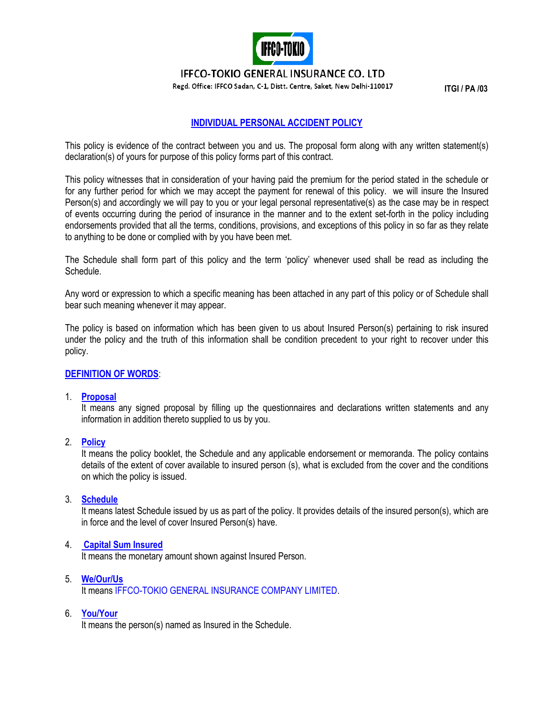

**IFFCO-TOKIO GENERAL INSURANCE CO. LTD** 

**Regd. Office: IFFCO Sadan, C-1, Distt. Centre, Saket, New Delhi-110017 | TGI / PA /03** 

# **INDIVIDUAL PERSONAL ACCIDENT POLICY**

This policy is evidence of the contract between you and us. The proposal form along with any written statement(s) declaration(s) of yours for purpose of this policy forms part of this contract.

This policy witnesses that in consideration of your having paid the premium for the period stated in the schedule or for any further period for which we may accept the payment for renewal of this policy. we will insure the Insured Person(s) and accordingly we will pay to you or your legal personal representative(s) as the case may be in respect of events occurring during the period of insurance in the manner and to the extent set-forth in the policy including endorsements provided that all the terms, conditions, provisions, and exceptions of this policy in so far as they relate to anything to be done or complied with by you have been met.

The Schedule shall form part of this policy and the term "policy" whenever used shall be read as including the Schedule.

Any word or expression to which a specific meaning has been attached in any part of this policy or of Schedule shall bear such meaning whenever it may appear.

The policy is based on information which has been given to us about Insured Person(s) pertaining to risk insured under the policy and the truth of this information shall be condition precedent to your right to recover under this policy.

## **DEFINITION OF WORDS**:

#### 1. **Proposal**

It means any signed proposal by filling up the questionnaires and declarations written statements and any information in addition thereto supplied to us by you.

### 2. **Policy**

It means the policy booklet, the Schedule and any applicable endorsement or memoranda. The policy contains details of the extent of cover available to insured person (s), what is excluded from the cover and the conditions on which the policy is issued.

### 3. **Schedule**

It means latest Schedule issued by us as part of the policy. It provides details of the insured person(s), which are in force and the level of cover Insured Person(s) have.

### 4. **Capital Sum Insured**

It means the monetary amount shown against Insured Person.

5. **We/Our/Us** It means IFFCO-TOKIO GENERAL INSURANCE COMPANY LIMITED.

### 6. **You/Your**

It means the person(s) named as Insured in the Schedule.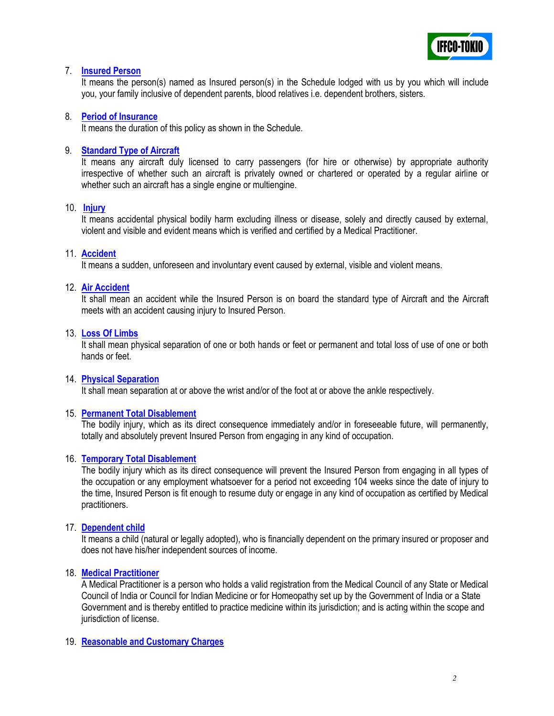

## 7. **Insured Person**

It means the person(s) named as Insured person(s) in the Schedule lodged with us by you which will include you, your family inclusive of dependent parents, blood relatives i.e. dependent brothers, sisters.

### 8. **Period of Insurance**

It means the duration of this policy as shown in the Schedule.

### 9. **Standard Type of Aircraft**

It means any aircraft duly licensed to carry passengers (for hire or otherwise) by appropriate authority irrespective of whether such an aircraft is privately owned or chartered or operated by a regular airline or whether such an aircraft has a single engine or multiengine.

### 10. **Injury**

It means accidental physical bodily harm excluding illness or disease, solely and directly caused by external, violent and visible and evident means which is verified and certified by a Medical Practitioner.

## 11. **Accident**

It means a sudden, unforeseen and involuntary event caused by external, visible and violent means.

### 12. **Air Accident**

It shall mean an accident while the Insured Person is on board the standard type of Aircraft and the Aircraft meets with an accident causing injury to Insured Person.

### 13. **Loss Of Limbs**

It shall mean physical separation of one or both hands or feet or permanent and total loss of use of one or both hands or feet.

### 14. **Physical Separation**

It shall mean separation at or above the wrist and/or of the foot at or above the ankle respectively.

### 15. **Permanent Total Disablement**

The bodily injury, which as its direct consequence immediately and/or in foreseeable future, will permanently, totally and absolutely prevent Insured Person from engaging in any kind of occupation.

### 16. **Temporary Total Disablement**

The bodily injury which as its direct consequence will prevent the Insured Person from engaging in all types of the occupation or any employment whatsoever for a period not exceeding 104 weeks since the date of injury to the time, Insured Person is fit enough to resume duty or engage in any kind of occupation as certified by Medical practitioners.

### 17. **Dependent child**

It means a child (natural or legally adopted), who is financially dependent on the primary insured or proposer and does not have his/her independent sources of income.

### 18. **Medical Practitioner**

A Medical Practitioner is a person who holds a valid registration from the Medical Council of any State or Medical Council of India or Council for Indian Medicine or for Homeopathy set up by the Government of India or a State Government and is thereby entitled to practice medicine within its jurisdiction; and is acting within the scope and jurisdiction of license.

### 19. **Reasonable and Customary Charges**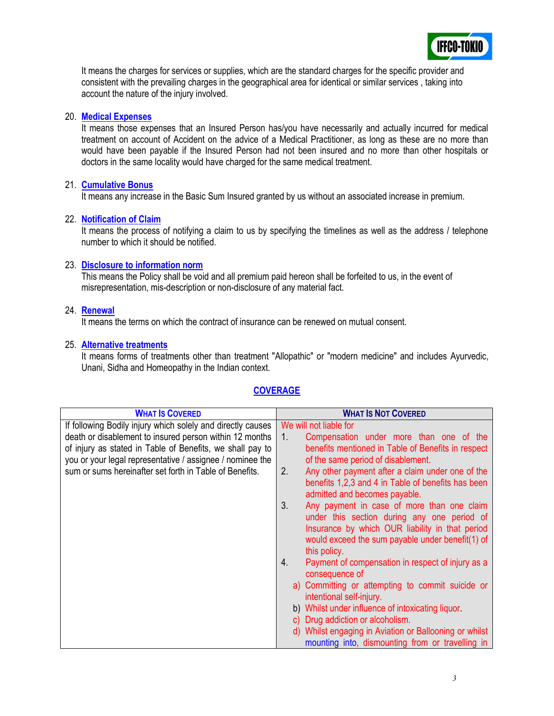

It means the charges for services or supplies, which are the standard charges for the specific provider and consistent with the prevailing charges in the geographical area for identical or similar services , taking into account the nature of the injury involved.

### 20. **Medical Expenses**

It means those expenses that an Insured Person has/you have necessarily and actually incurred for medical treatment on account of Accident on the advice of a Medical Practitioner, as long as these are no more than would have been payable if the Insured Person had not been insured and no more than other hospitals or doctors in the same locality would have charged for the same medical treatment.

## 21. **Cumulative Bonus**

It means any increase in the Basic Sum Insured granted by us without an associated increase in premium.

## 22. **Notification of Claim**

It means the process of notifying a claim to us by specifying the timelines as well as the address / telephone number to which it should be notified.

## 23. **Disclosure to information norm**

This means the Policy shall be void and all premium paid hereon shall be forfeited to us, in the event of misrepresentation, mis-description or non-disclosure of any material fact.

### 24. **Renewal**

It means the terms on which the contract of insurance can be renewed on mutual consent.

### 25. **Alternative treatments**

It means forms of treatments other than treatment "Allopathic" or "modern medicine" and includes Ayurvedic, Unani, Sidha and Homeopathy in the Indian context.

# **COVERAGE**

| <b>WHAT IS COVERED</b>                                      | <b>WHAT IS NOT COVERED</b>                                                          |
|-------------------------------------------------------------|-------------------------------------------------------------------------------------|
| If following Bodily injury which solely and directly causes | We will not liable for                                                              |
| death or disablement to insured person within 12 months     | Compensation under more than one of the<br>$1_{\cdot}$                              |
| of injury as stated in Table of Benefits, we shall pay to   | benefits mentioned in Table of Benefits in respect                                  |
| you or your legal representative / assignee / nominee the   | of the same period of disablement.                                                  |
| sum or sums hereinafter set forth in Table of Benefits.     | Any other payment after a claim under one of the<br>2.                              |
|                                                             | benefits 1,2,3 and 4 in Table of benefits has been<br>admitted and becomes payable. |
|                                                             | 3.<br>Any payment in case of more than one claim                                    |
|                                                             | under this section during any one period of                                         |
|                                                             | Insurance by which OUR liability in that period                                     |
|                                                             | would exceed the sum payable under benefit(1) of                                    |
|                                                             | this policy.                                                                        |
|                                                             | Payment of compensation in respect of injury as a<br>4.                             |
|                                                             | consequence of                                                                      |
|                                                             | a) Committing or attempting to commit suicide or                                    |
|                                                             | intentional self-injury.                                                            |
|                                                             | b) Whilst under influence of intoxicating liquor.                                   |
|                                                             | c) Drug addiction or alcoholism.                                                    |
|                                                             | d) Whilst engaging in Aviation or Ballooning or whilst                              |
|                                                             | mounting into, dismounting from or travelling in                                    |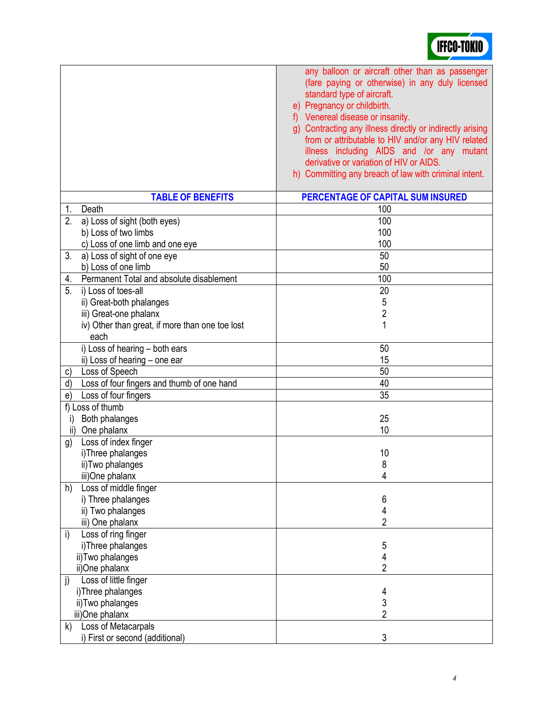| <b>TABLE OF BENEFITS</b>                         | PERCENTAGE OF CAPITAL SUM INSURED |
|--------------------------------------------------|-----------------------------------|
| Death<br>1.                                      | 100                               |
| 2.<br>a) Loss of sight (both eyes)               | 100                               |
| b) Loss of two limbs                             | 100                               |
| c) Loss of one limb and one eye                  | 100                               |
| 3.<br>a) Loss of sight of one eye                | 50                                |
| b) Loss of one limb                              | 50                                |
| Permanent Total and absolute disablement<br>4.   | 100                               |
| i) Loss of toes-all<br>5.                        | 20                                |
| ii) Great-both phalanges                         | 5                                 |
| iii) Great-one phalanx                           | $\overline{2}$                    |
| iv) Other than great, if more than one toe lost  | 1                                 |
| each                                             |                                   |
| i) Loss of hearing - both ears                   | 50                                |
| ii) Loss of hearing - one ear                    | 15                                |
| Loss of Speech<br>C)                             | 50                                |
| Loss of four fingers and thumb of one hand<br>d) | 40                                |
| Loss of four fingers<br>e)                       | $\overline{35}$                   |
| f) Loss of thumb                                 |                                   |
| Both phalanges<br>i)                             | 25                                |
| One phalanx<br>$\mathsf{ii}$                     | 10                                |
| Loss of index finger<br>g)                       |                                   |
| i)Three phalanges                                | 10                                |
| ii) Two phalanges                                | 8                                 |
| iii)One phalanx                                  | 4                                 |
| Loss of middle finger<br>h)                      |                                   |
| i) Three phalanges                               | 6                                 |
| ii) Two phalanges                                | 4                                 |
| iii) One phalanx                                 | $\overline{2}$                    |
| Loss of ring finger<br>i)                        |                                   |
| i)Three phalanges                                | 5                                 |
| ii)Two phalanges                                 | 4                                 |
| ii)One phalanx                                   | 2                                 |
| Loss of little finger<br>$\mathbf{j}$            |                                   |
| i)Three phalanges                                | 4                                 |
| ii)Two phalanges                                 | 3                                 |
| iii)One phalanx                                  | $\overline{2}$                    |
| Loss of Metacarpals<br>k)                        |                                   |
| i) First or second (additional)                  | 3                                 |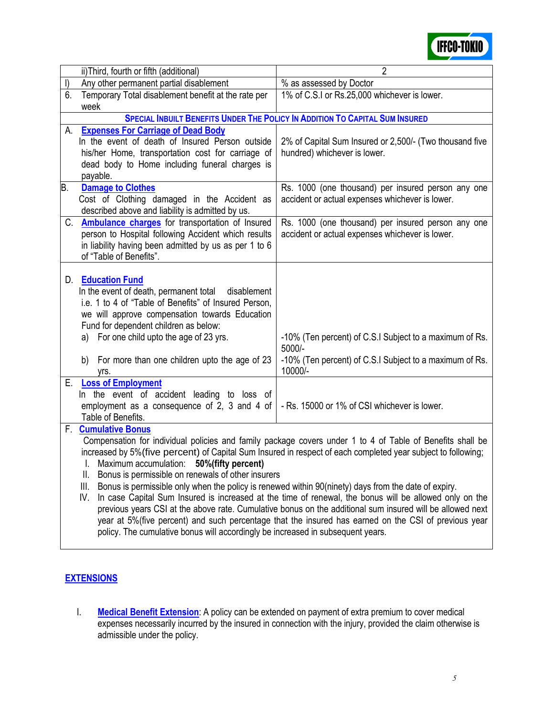

|         | ii) Third, fourth or fifth (additional)                                                                                                                                                                             | $\overline{2}$                                                                      |  |
|---------|---------------------------------------------------------------------------------------------------------------------------------------------------------------------------------------------------------------------|-------------------------------------------------------------------------------------|--|
| $\vert$ | Any other permanent partial disablement                                                                                                                                                                             | % as assessed by Doctor                                                             |  |
| 6.      | Temporary Total disablement benefit at the rate per                                                                                                                                                                 | 1% of C.S.I or Rs.25,000 whichever is lower.                                        |  |
|         | week                                                                                                                                                                                                                |                                                                                     |  |
|         |                                                                                                                                                                                                                     | <b>SPECIAL INBUILT BENEFITS UNDER THE POLICY IN ADDITION TO CAPITAL SUM INSURED</b> |  |
| А.      | <b>Expenses For Carriage of Dead Body</b>                                                                                                                                                                           |                                                                                     |  |
|         | In the event of death of Insured Person outside                                                                                                                                                                     | 2% of Capital Sum Insured or 2,500/- (Two thousand five                             |  |
|         | his/her Home, transportation cost for carriage of                                                                                                                                                                   | hundred) whichever is lower.                                                        |  |
|         | dead body to Home including funeral charges is                                                                                                                                                                      |                                                                                     |  |
|         | payable.                                                                                                                                                                                                            |                                                                                     |  |
| B.      | <b>Damage to Clothes</b>                                                                                                                                                                                            | Rs. 1000 (one thousand) per insured person any one                                  |  |
|         | Cost of Clothing damaged in the Accident as                                                                                                                                                                         | accident or actual expenses whichever is lower.                                     |  |
|         | described above and liability is admitted by us.                                                                                                                                                                    |                                                                                     |  |
|         | C. <b>Ambulance charges</b> for transportation of Insured                                                                                                                                                           | Rs. 1000 (one thousand) per insured person any one                                  |  |
|         | person to Hospital following Accident which results                                                                                                                                                                 | accident or actual expenses whichever is lower.                                     |  |
|         | in liability having been admitted by us as per 1 to 6<br>of "Table of Benefits".                                                                                                                                    |                                                                                     |  |
|         |                                                                                                                                                                                                                     |                                                                                     |  |
|         | D. Education Fund                                                                                                                                                                                                   |                                                                                     |  |
|         | In the event of death, permanent total<br>disablement                                                                                                                                                               |                                                                                     |  |
|         | i.e. 1 to 4 of "Table of Benefits" of Insured Person,                                                                                                                                                               |                                                                                     |  |
|         | we will approve compensation towards Education                                                                                                                                                                      |                                                                                     |  |
|         | Fund for dependent children as below:                                                                                                                                                                               |                                                                                     |  |
|         | For one child upto the age of 23 yrs.<br>a)                                                                                                                                                                         | -10% (Ten percent) of C.S.I Subject to a maximum of Rs.                             |  |
|         |                                                                                                                                                                                                                     | 5000/-                                                                              |  |
|         | For more than one children upto the age of 23<br>b)                                                                                                                                                                 | -10% (Ten percent) of C.S.I Subject to a maximum of Rs.                             |  |
|         | vrs.                                                                                                                                                                                                                | 10000/-                                                                             |  |
| Е.      | <b>Loss of Employment</b>                                                                                                                                                                                           |                                                                                     |  |
|         | In the event of accident leading to loss of                                                                                                                                                                         |                                                                                     |  |
|         | employment as a consequence of 2, 3 and 4 of                                                                                                                                                                        | - Rs. 15000 or 1% of CSI whichever is lower.                                        |  |
|         | Table of Benefits.                                                                                                                                                                                                  |                                                                                     |  |
| F.      | <b>Cumulative Bonus</b>                                                                                                                                                                                             |                                                                                     |  |
|         | Compensation for individual policies and family package covers under 1 to 4 of Table of Benefits shall be                                                                                                           |                                                                                     |  |
|         | increased by 5% (five percent) of Capital Sum Insured in respect of each completed year subject to following;                                                                                                       |                                                                                     |  |
|         | I. Maximum accumulation: 50% (fifty percent)                                                                                                                                                                        |                                                                                     |  |
|         | Bonus is permissible on renewals of other insurers<br>Ш.                                                                                                                                                            |                                                                                     |  |
|         | Ш.<br>Bonus is permissible only when the policy is renewed within 90(ninety) days from the date of expiry.<br>IV.                                                                                                   |                                                                                     |  |
|         | In case Capital Sum Insured is increased at the time of renewal, the bonus will be allowed only on the<br>previous years CSI at the above rate. Cumulative bonus on the additional sum insured will be allowed next |                                                                                     |  |
|         | year at 5% (five percent) and such percentage that the insured has earned on the CSI of previous year                                                                                                               |                                                                                     |  |
|         | policy. The cumulative bonus will accordingly be increased in subsequent years.                                                                                                                                     |                                                                                     |  |
|         |                                                                                                                                                                                                                     |                                                                                     |  |

# **EXTENSIONS**

I. **Medical Benefit Extension**: A policy can be extended on payment of extra premium to cover medical expenses necessarily incurred by the insured in connection with the injury, provided the claim otherwise is admissible under the policy.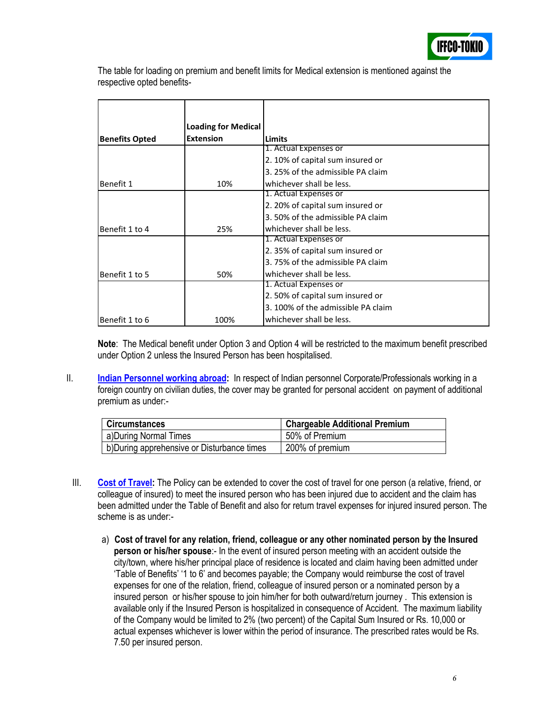

The table for loading on premium and benefit limits for Medical extension is mentioned against the respective opted benefits-

|                       | <b>Loading for Medical</b> |                                    |
|-----------------------|----------------------------|------------------------------------|
| <b>Benefits Opted</b> | <b>Extension</b>           | <b>Limits</b>                      |
|                       |                            | 1. Actual Expenses or              |
|                       |                            | 2.10% of capital sum insured or    |
|                       |                            | 3. 25% of the admissible PA claim  |
| Benefit 1             | 10%                        | whichever shall be less.           |
|                       |                            | 1. Actual Expenses or              |
|                       |                            | 2. 20% of capital sum insured or   |
|                       |                            | 3.50% of the admissible PA claim   |
| Benefit 1 to 4        | 25%                        | whichever shall be less.           |
|                       |                            | 1. Actual Expenses or              |
|                       |                            | 2.35% of capital sum insured or    |
|                       |                            | 3.75% of the admissible PA claim   |
| Benefit 1 to 5        | 50%                        | whichever shall be less.           |
|                       |                            | 1. Actual Expenses or              |
|                       |                            | 2.50% of capital sum insured or    |
|                       |                            | 3. 100% of the admissible PA claim |
| Benefit 1 to 6        | 100%                       | whichever shall be less.           |

**Note**: The Medical benefit under Option 3 and Option 4 will be restricted to the maximum benefit prescribed under Option 2 unless the Insured Person has been hospitalised.

II. **Indian Personnel working abroad:** In respect of Indian personnel Corporate/Professionals working in a foreign country on civilian duties, the cover may be granted for personal accident on payment of additional premium as under:-

| <b>Circumstances</b>                        | <b>Chargeable Additional Premium</b> |
|---------------------------------------------|--------------------------------------|
| a)During Normal Times                       | 50% of Premium                       |
| b) During apprehensive or Disturbance times | 200% of premium                      |

- III. **Cost of Travel:** The Policy can be extended to cover the cost of travel for one person (a relative, friend, or colleague of insured) to meet the insured person who has been injured due to accident and the claim has been admitted under the Table of Benefit and also for return travel expenses for injured insured person. The scheme is as under:
	- a) **Cost of travel for any relation, friend, colleague or any other nominated person by the Insured person or his/her spouse**:- In the event of insured person meeting with an accident outside the city/town, where his/her principal place of residence is located and claim having been admitted under "Table of Benefits" "1 to 6" and becomes payable; the Company would reimburse the cost of travel expenses for one of the relation, friend, colleague of insured person or a nominated person by a insured person or his/her spouse to join him/her for both outward/return journey . This extension is available only if the Insured Person is hospitalized in consequence of Accident. The maximum liability of the Company would be limited to 2% (two percent) of the Capital Sum Insured or Rs. 10,000 or actual expenses whichever is lower within the period of insurance. The prescribed rates would be Rs. 7.50 per insured person.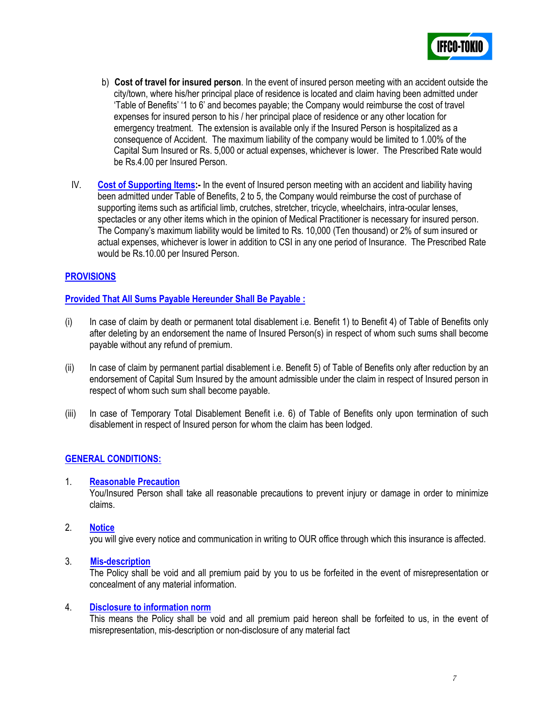

- b) **Cost of travel for insured person**. In the event of insured person meeting with an accident outside the city/town, where his/her principal place of residence is located and claim having been admitted under "Table of Benefits" "1 to 6" and becomes payable; the Company would reimburse the cost of travel expenses for insured person to his / her principal place of residence or any other location for emergency treatment. The extension is available only if the Insured Person is hospitalized as a consequence of Accident. The maximum liability of the company would be limited to 1.00% of the Capital Sum Insured or Rs. 5,000 or actual expenses, whichever is lower. The Prescribed Rate would be Rs.4.00 per Insured Person.
- IV. **Cost of Supporting Items:-** In the event of Insured person meeting with an accident and liability having been admitted under Table of Benefits, 2 to 5, the Company would reimburse the cost of purchase of supporting items such as artificial limb, crutches, stretcher, tricycle, wheelchairs, intra-ocular lenses, spectacles or any other items which in the opinion of Medical Practitioner is necessary for insured person. The Company"s maximum liability would be limited to Rs. 10,000 (Ten thousand) or 2% of sum insured or actual expenses, whichever is lower in addition to CSI in any one period of Insurance. The Prescribed Rate would be Rs.10.00 per Insured Person.

## **PROVISIONS**

### **Provided That All Sums Payable Hereunder Shall Be Payable :**

- (i) In case of claim by death or permanent total disablement i.e. Benefit 1) to Benefit 4) of Table of Benefits only after deleting by an endorsement the name of Insured Person(s) in respect of whom such sums shall become payable without any refund of premium.
- (ii) In case of claim by permanent partial disablement i.e. Benefit 5) of Table of Benefits only after reduction by an endorsement of Capital Sum Insured by the amount admissible under the claim in respect of Insured person in respect of whom such sum shall become payable.
- (iii) In case of Temporary Total Disablement Benefit i.e. 6) of Table of Benefits only upon termination of such disablement in respect of Insured person for whom the claim has been lodged.

### **GENERAL CONDITIONS:**

#### 1. **Reasonable Precaution**

You/Insured Person shall take all reasonable precautions to prevent injury or damage in order to minimize claims.

2. **Notice**

you will give every notice and communication in writing to OUR office through which this insurance is affected.

3. **Mis-description**

The Policy shall be void and all premium paid by you to us be forfeited in the event of misrepresentation or concealment of any material information.

#### 4. **Disclosure to information norm**

This means the Policy shall be void and all premium paid hereon shall be forfeited to us, in the event of misrepresentation, mis-description or non-disclosure of any material fact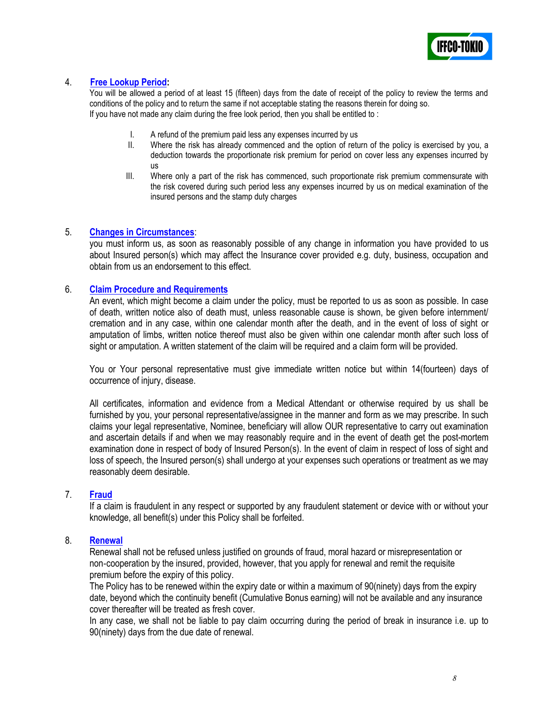

# 4. **Free Lookup Period:**

You will be allowed a period of at least 15 (fifteen) days from the date of receipt of the policy to review the terms and conditions of the policy and to return the same if not acceptable stating the reasons therein for doing so. If you have not made any claim during the free look period, then you shall be entitled to :

- I. A refund of the premium paid less any expenses incurred by us<br>II. Where the risk has already commenced and the option of retu
- Where the risk has already commenced and the option of return of the policy is exercised by you, a deduction towards the proportionate risk premium for period on cover less any expenses incurred by us
- III. Where only a part of the risk has commenced, such proportionate risk premium commensurate with the risk covered during such period less any expenses incurred by us on medical examination of the insured persons and the stamp duty charges

### 5. **Changes in Circumstances**:

you must inform us, as soon as reasonably possible of any change in information you have provided to us about Insured person(s) which may affect the Insurance cover provided e.g. duty, business, occupation and obtain from us an endorsement to this effect.

### 6. **Claim Procedure and Requirements**

An event, which might become a claim under the policy, must be reported to us as soon as possible. In case of death, written notice also of death must, unless reasonable cause is shown, be given before internment/ cremation and in any case, within one calendar month after the death, and in the event of loss of sight or amputation of limbs, written notice thereof must also be given within one calendar month after such loss of sight or amputation. A written statement of the claim will be required and a claim form will be provided.

You or Your personal representative must give immediate written notice but within 14(fourteen) days of occurrence of injury, disease.

All certificates, information and evidence from a Medical Attendant or otherwise required by us shall be furnished by you, your personal representative/assignee in the manner and form as we may prescribe. In such claims your legal representative, Nominee, beneficiary will allow OUR representative to carry out examination and ascertain details if and when we may reasonably require and in the event of death get the post-mortem examination done in respect of body of Insured Person(s). In the event of claim in respect of loss of sight and loss of speech, the Insured person(s) shall undergo at your expenses such operations or treatment as we may reasonably deem desirable.

### 7. **Fraud**

If a claim is fraudulent in any respect or supported by any fraudulent statement or device with or without your knowledge, all benefit(s) under this Policy shall be forfeited.

#### 8. **Renewal**

Renewal shall not be refused unless justified on grounds of fraud, moral hazard or misrepresentation or non‐cooperation by the insured, provided, however, that you apply for renewal and remit the requisite premium before the expiry of this policy.

The Policy has to be renewed within the expiry date or within a maximum of 90(ninety) days from the expiry date, beyond which the continuity benefit (Cumulative Bonus earning) will not be available and any insurance cover thereafter will be treated as fresh cover.

In any case, we shall not be liable to pay claim occurring during the period of break in insurance i.e. up to 90(ninety) days from the due date of renewal.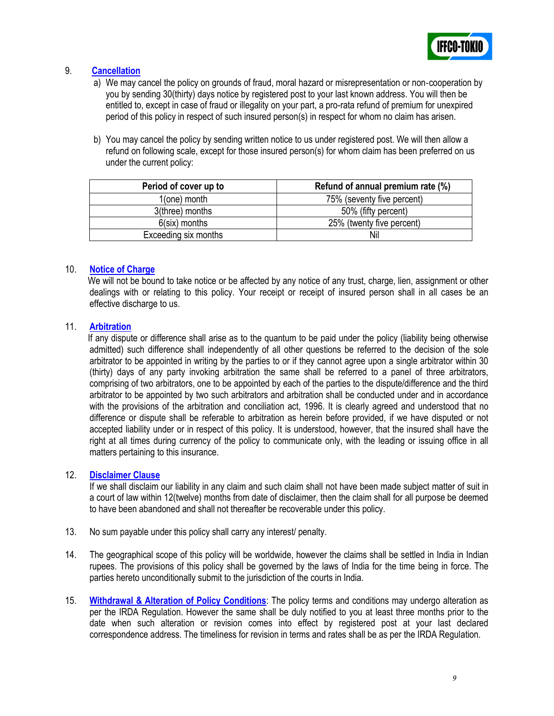

# 9. **Cancellation**

- a) We may cancel the policy on grounds of fraud, moral hazard or misrepresentation or non‐cooperation by you by sending 30(thirty) days notice by registered post to your last known address. You will then be entitled to, except in case of fraud or illegality on your part, a pro-rata refund of premium for unexpired period of this policy in respect of such insured person(s) in respect for whom no claim has arisen.
- b) You may cancel the policy by sending written notice to us under registered post. We will then allow a refund on following scale, except for those insured person(s) for whom claim has been preferred on us under the current policy:

| Period of cover up to | Refund of annual premium rate (%) |
|-----------------------|-----------------------------------|
| $1$ (one) month       | 75% (seventy five percent)        |
| 3(three) months       | 50% (fifty percent)               |
| $6$ (six) months      | 25% (twenty five percent)         |
| Exceeding six months  | Nil                               |

### 10. **Notice of Charge**

We will not be bound to take notice or be affected by any notice of any trust, charge, lien, assignment or other dealings with or relating to this policy. Your receipt or receipt of insured person shall in all cases be an effective discharge to us.

### 11. **Arbitration**

 If any dispute or difference shall arise as to the quantum to be paid under the policy (liability being otherwise admitted) such difference shall independently of all other questions be referred to the decision of the sole arbitrator to be appointed in writing by the parties to or if they cannot agree upon a single arbitrator within 30 (thirty) days of any party invoking arbitration the same shall be referred to a panel of three arbitrators, comprising of two arbitrators, one to be appointed by each of the parties to the dispute/difference and the third arbitrator to be appointed by two such arbitrators and arbitration shall be conducted under and in accordance with the provisions of the arbitration and conciliation act, 1996. It is clearly agreed and understood that no difference or dispute shall be referable to arbitration as herein before provided, if we have disputed or not accepted liability under or in respect of this policy. It is understood, however, that the insured shall have the right at all times during currency of the policy to communicate only, with the leading or issuing office in all matters pertaining to this insurance.

### 12. **Disclaimer Clause**

If we shall disclaim our liability in any claim and such claim shall not have been made subject matter of suit in a court of law within 12(twelve) months from date of disclaimer, then the claim shall for all purpose be deemed to have been abandoned and shall not thereafter be recoverable under this policy.

- 13. No sum payable under this policy shall carry any interest/ penalty.
- 14. The geographical scope of this policy will be worldwide, however the claims shall be settled in India in Indian rupees. The provisions of this policy shall be governed by the laws of India for the time being in force. The parties hereto unconditionally submit to the jurisdiction of the courts in India.
- 15. **Withdrawal & Alteration of Policy Conditions**: The policy terms and conditions may undergo alteration as per the IRDA Regulation. However the same shall be duly notified to you at least three months prior to the date when such alteration or revision comes into effect by registered post at your last declared correspondence address. The timeliness for revision in terms and rates shall be as per the IRDA Regulation.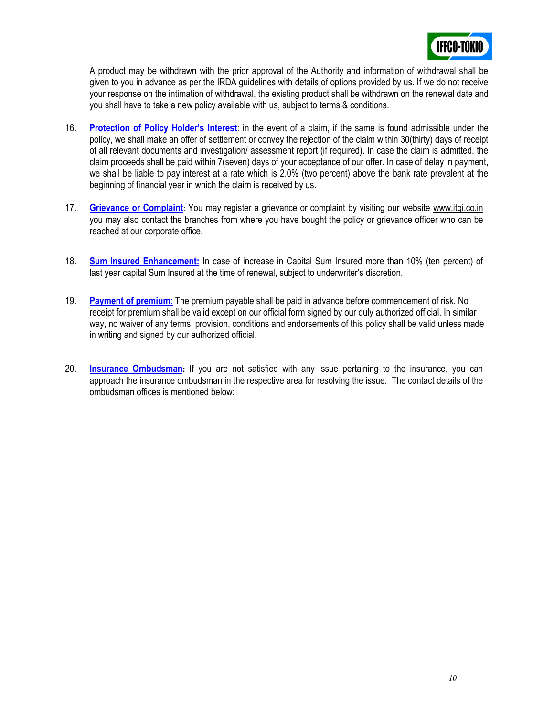

A product may be withdrawn with the prior approval of the Authority and information of withdrawal shall be given to you in advance as per the IRDA guidelines with details of options provided by us. If we do not receive your response on the intimation of withdrawal, the existing product shall be withdrawn on the renewal date and you shall have to take a new policy available with us, subject to terms & conditions.

- 16. **Protection of Policy Holder's Interest**: in the event of a claim, if the same is found admissible under the policy, we shall make an offer of settlement or convey the rejection of the claim within 30(thirty) days of receipt of all relevant documents and investigation/ assessment report (if required). In case the claim is admitted, the claim proceeds shall be paid within 7(seven) days of your acceptance of our offer. In case of delay in payment, we shall be liable to pay interest at a rate which is 2.0% (two percent) above the bank rate prevalent at the beginning of financial year in which the claim is received by us.
- 17. **Grievance or Complaint**: You may register a grievance or complaint by visiting our website [www.itgi.co.in](http://www.itgi.co.in/) you may also contact the branches from where you have bought the policy or grievance officer who can be reached at our corporate office.
- 18. **Sum Insured Enhancement:** In case of increase in Capital Sum Insured more than 10% (ten percent) of last year capital Sum Insured at the time of renewal, subject to underwriter's discretion.
- 19. **Payment of premium:** The premium payable shall be paid in advance before commencement of risk. No receipt for premium shall be valid except on our official form signed by our duly authorized official. In similar way, no waiver of any terms, provision, conditions and endorsements of this policy shall be valid unless made in writing and signed by our authorized official.
- 20. **Insurance Ombudsman:** If you are not satisfied with any issue pertaining to the insurance, you can approach the insurance ombudsman in the respective area for resolving the issue. The contact details of the ombudsman offices is mentioned below: